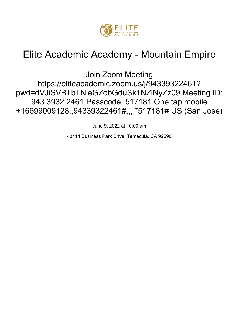

# Elite Academic Academy - Mountain Empire

Join Zoom Meeting https://eliteacademic.zoom.us/j/94339322461? pwd=dVJiSVBTbTNleGZobGduSk1NZlNyZz09 Meeting ID: 943 3932 2461 Passcode: 517181 One tap mobile +16699009128,,94339322461#,,,, \*517181# US (San Jose)

June 9, 2022 at 10:00 am

43414 Business Park Drive, Temecula, CA 92590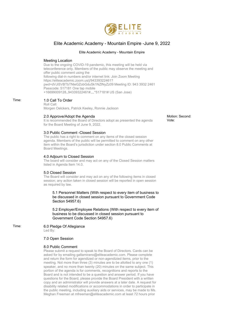

## Elite Academic Academy - Mountain Empire -June 9, 2022

## Elite Academic Academy - Mountain Empire

## Meeting Location

Due to the ongoing COVID-19 pandemic, this meeting will be held via teleconference only. Members of the public may observe the meeting and offer public comment using the following dial-in numbers and/or internet link: Join Zoom Meeting https://eliteacademic.zoom.us/j/94339322461? pwd=dVJiSVBTbTNleGZobGduSk1NZlNyZz09 Meeting ID: 943 3932 2461 Passcode: 517181 One tap mobile +16699009128,,94339322461#,,,,\*517181# US (San Jose)

## Time: 1.0 Call To Order

Roll Call: Morgen Oelckers, Patrick Keeley, Ronnie Jackson

## 2.0 Approve/Adopt the Agenda

It is recommended the Board of Directors adopt as presented the agenda for the Board Meeting of June 9, 2022.

## 3.0 Public Comment -Closed Session

The public has a right to comment on any items of the closed session agenda. Members of the public will be permitted to comment on any other item within the Board's jurisdiction under section 8.0 Public Comments at Board Meetings.

## 4.0 Adjourn to Closed Session

The board will consider and may act on any of the Closed Session matters listed in Agenda Item 14.0.

## 5.0 Closed Session

The Board will consider and may act on any of the following items in closed session; any action taken in closed session will be reported in open session as required by law.

5.1 Personnel Matters (With respect to every item of business to be discussed in closed session pursuant to Government Code Section 54957.6)

5.2 Employer/Employee Relations (With respect to every item of business to be discussed in closed session pursuant to Government Code Section 54957.6)

Time: 6.0 Pledge Of Allegiance

Led By:

## 7.0 Open Session

## 8.0 Public Comment

Please submit a request to speak to the Board of Directors. Cards can be asked for by emailing galtamirano@eliteacademic.com. Please complete and return the form for agendized or non-agendizied items, prior to the meeting. Not more than three (3) minutes are to be allotted to any one (1) speaker, and no more than twenty (20) minutes on the same subject. This portion of the agenda is for comments, recognitions and reports to the Board and is not intended to be a question and answer period. If you have questions for the Board, please provide the Board President with a written copy and an administrator will provide answers at a later date. A request for disability related modifications or accommodations in order to participate in the public meeting, including auxiliary aids or services, may be made to Ms. Meghan Freeman at mfreeman@eliteacademic.com at least 72 hours prior

Motion: Second: Vote: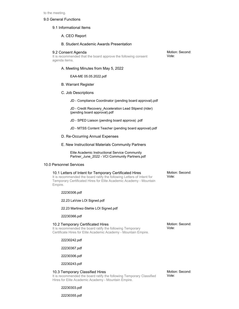#### 9.0 General Functions

#### 9.1 Informational Items

## A. CEO Report

## B. Student Academic Awards Presentation

#### 9.2 Consent Agenda

It is recommended that the board approve the following consent agenda items.

A. Meeting Minutes from May 5, 2022

EAA-ME 05.05.2022.pdf

#### B. Warrant Register

C. Job Descriptions

JD - Compliance Coordinator (pending board approval).pdf

JD - Credit Recovery\_Acceleration Lead Stipend (rider) (pending board approval).pdf

- JD SPED Liaison (pending board approva) .pdf
- JD MTSS Content Teacher (pending board approval).pdf
- D. Re-Occurring Annual Expenses
- E. New Instructional Materials Community Partners

Elite Academic Instructional Service Community Partner\_June\_2022 - VCI Community Partners.pdf

## 10.0 Personnel Services

## 10.1 Letters of Intent for Temporary Certificated Hires It is recommended the board ratify the following Letters of Intent for Temporary Certificated Hires for Elite Academic Academy - Mountain Empire.

Motion: Second: Vote:

Motion: Second:

Vote:

22230306.pdf

22.23 LaVoie LOI Signed.pdf

22.23 Martinez-Stehle LOI Signed.pdf

22230366.pdf

## 10.2 Temporary Certificated Hires

It is recommended the board ratify the following Temporary Certificate Hires for Elite Academic Academy - Mountain Empire.

22230242.pdf

22230367.pdf

22230306.pdf

22230243.pdf

#### 10.3 Temporary Classified Hires

It is recommended the board ratify the following Temporary Classified Hires for Elite Academic Academy - Mountain Empire.

Motion: Second: Vote:

Motion: Second:

Vote:

22230303.pdf

22230355.pdf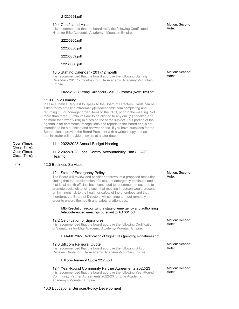## 21220294.pdf

## 10.4 Certificated Hires

It is recommended that the board ratify the following Certificated Hires for Elite Academic Academy - Mountain Empire.

22230365.pdf

22230358.pdf

22230359.pdf

22230366.pdf

## 10.5 Staffing Calendar - 201 (12 month)

It is recommended that the board approve the following Staffing Calendar - 201 (12 months) for Elite Academic Academy -Mountain Empire.

## 2022-2023 Staffing Calendars - 201 (12 month) (New Hire).pdf

## 11.0 Public Hearing

Please submit a Request to Speak to the Board of Directors. Cards can be asked for by emailing mfreeman@eliteacademic.com completing and returning it, For non-agendizied items to the CEO, prior to the meeting. Not more than three (3) minutes are to be allotted to any one (1) speaker, and no more than twenty (20) minutes on the same subject. This portion of the agenda is for comments, recognitions and reports to the Board and is not intended to be a question and answer period. If you have questions for the Board, please provide the Board President with a written copy and an administrator will provide answers at a later date.

Open (Time): Close (Time): Open (Time): Close (Time):

## 11.1 2022/2023 Annual Budget Hearing

## 11.2 2022/2023 Local Control Accountability Plan (LCAP) **Hearing**

## Time: 12.0 Business Services

## 12.1 State of Emergency Policy

The Board will review and consider approval of a proposed resolution finding that the proclamation of a state of emergency continues and that local health officials have continued to recommend measures to promote social distancing such that meeting in person would present an imminent risk to the health or safety of the attendees and that, therefore, the Board of Directors will continue to meet remotely in order to ensure the health and safety of attendees.

## ME-Resolution recognizing a state of emergency and authorizing teleconferenced meetings pursuant to AB 361.pdf

## 12.2 Certification of Signatures

It is recommended that the board approve the following Certification of Signatures for Elite Academic Academy-Mountain Empire.

## EAA-ME 2022 Certification of Signatures (pending signatures).pdf

## 12.3 Bill.com Renewal Quote

It is recommended that the board approve the following Bill.com Renewal Quote for Elite Academic Academy-Mountain Empire.

## Bill.com Renewal Quote 22.23.pdf

## 12.4 Year-Round Community Partner Agreements 2022-23

It is recommended that the board approve the following Year-Round Community Partner Agreements 2022-23 for Elite Academic Academy - Mountain Empire.

## 13.0 Educational Services/Policy Development

Motion: Second: Vote:

Motion: Second: Vote:

Motion: Second: Vote:

Motion: Second: Vote:

Motion: Second: Vote:

Motion: Second: Vote: